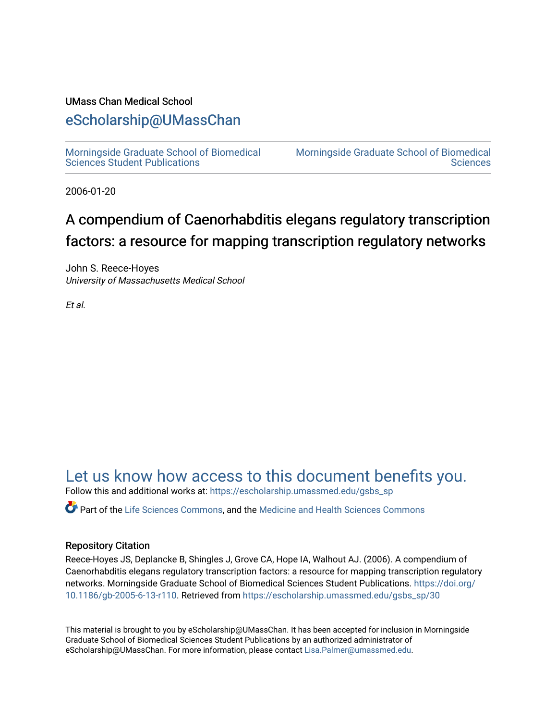# UMass Chan Medical School

# [eScholarship@UMassChan](https://escholarship.umassmed.edu/)

[Morningside Graduate School of Biomedical](https://escholarship.umassmed.edu/gsbs_sp)  [Sciences Student Publications](https://escholarship.umassmed.edu/gsbs_sp) 

[Morningside Graduate School of Biomedical](https://escholarship.umassmed.edu/gsbs)  **Sciences** 

2006-01-20

# A compendium of Caenorhabditis elegans regulatory transcription factors: a resource for mapping transcription regulatory networks

John S. Reece-Hoyes University of Massachusetts Medical School

Et al.

[Let us know how access to this document benefits you.](https://arcsapps.umassmed.edu/redcap/surveys/?s=XWRHNF9EJE) 

Follow this and additional works at: [https://escholarship.umassmed.edu/gsbs\\_sp](https://escholarship.umassmed.edu/gsbs_sp?utm_source=escholarship.umassmed.edu%2Fgsbs_sp%2F30&utm_medium=PDF&utm_campaign=PDFCoverPages)

Part of the [Life Sciences Commons,](http://network.bepress.com/hgg/discipline/1016?utm_source=escholarship.umassmed.edu%2Fgsbs_sp%2F30&utm_medium=PDF&utm_campaign=PDFCoverPages) and the [Medicine and Health Sciences Commons](http://network.bepress.com/hgg/discipline/648?utm_source=escholarship.umassmed.edu%2Fgsbs_sp%2F30&utm_medium=PDF&utm_campaign=PDFCoverPages)

# Repository Citation

Reece-Hoyes JS, Deplancke B, Shingles J, Grove CA, Hope IA, Walhout AJ. (2006). A compendium of Caenorhabditis elegans regulatory transcription factors: a resource for mapping transcription regulatory networks. Morningside Graduate School of Biomedical Sciences Student Publications. [https://doi.org/](https://doi.org/10.1186/gb-2005-6-13-r110) [10.1186/gb-2005-6-13-r110](https://doi.org/10.1186/gb-2005-6-13-r110). Retrieved from [https://escholarship.umassmed.edu/gsbs\\_sp/30](https://escholarship.umassmed.edu/gsbs_sp/30?utm_source=escholarship.umassmed.edu%2Fgsbs_sp%2F30&utm_medium=PDF&utm_campaign=PDFCoverPages) 

This material is brought to you by eScholarship@UMassChan. It has been accepted for inclusion in Morningside Graduate School of Biomedical Sciences Student Publications by an authorized administrator of eScholarship@UMassChan. For more information, please contact [Lisa.Palmer@umassmed.edu](mailto:Lisa.Palmer@umassmed.edu).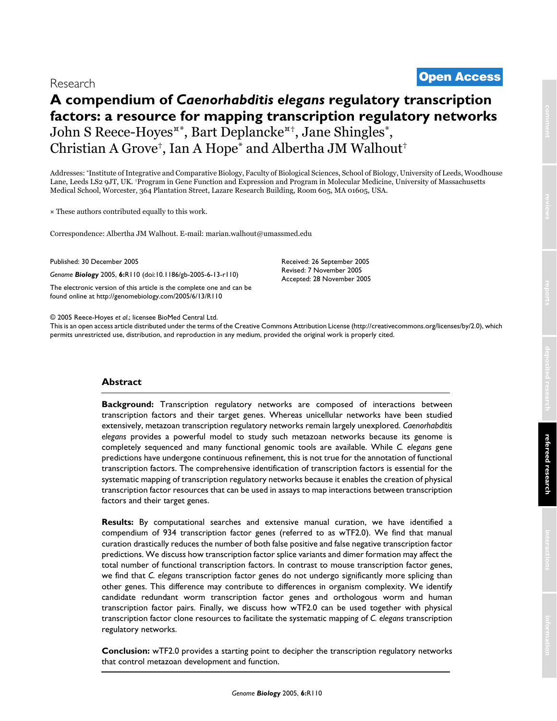# <sup>2005</sup> Reece-Hoyes et al. Volume 6, Issue 13, Article R110 **[Open Access](http://www.biomedcentral.com/info/about/charter/)** Research

# **A compendium of** *Caenorhabditis elegans* **regulatory transcription factors: a resource for mapping transcription regulatory networks** John S Reece-Hoyes¤\*, Bart Deplancke¤†, Jane Shingles\*, Christian A Grove†, Ian A Hope\* and Albertha JM Walhout†

Addresses: \*Institute of Integrative and Comparative Biology, Faculty of Biological Sciences, School of Biology, University of Leeds, Woodhouse Lane, Leeds LS2 9JT, UK. †Program in Gene Function and Expression and Program in Molecular Medicine, University of Massachusetts Medical School, Worcester, 364 Plantation Street, Lazare Research Building, Room 605, MA 01605, USA.

¤ These authors contributed equally to this work.

Correspondence: Albertha JM Walhout. E-mail: marian.walhout@umassmed.edu

Published: 30 December 2005

*Genome Biology* 2005, **6:**R110 (doi:10.1186/gb-2005-6-13-r110)

[The electronic version of this article is the complete one and can be](http://genomebiology.com/2005/6/13/R110)  found online at http://genomebiology.com/2005/6/13/R110

© 2005 Reece-Hoyes *et al*.; licensee BioMed Central Ltd.

[This is an open access article distributed under the terms of the Creative Commons Attribution License \(http://creativecommons.org/licenses/by/2.0\), which](http://creativecommons.org/licenses/by/2.0)  permits unrestricted use, distribution, and reproduction in any medium, provided the original work is properly cited.

Received: 26 September 2005 Revised: 7 November 2005 Accepted: 28 November 2005

# **Abstract**

**Background:** Transcription regulatory networks are composed of interactions between transcription factors and their target genes. Whereas unicellular networks have been studied extensively, metazoan transcription regulatory networks remain largely unexplored. *Caenorhabditis elegans* provides a powerful model to study such metazoan networks because its genome is completely sequenced and many functional genomic tools are available. While *C. elegans* gene predictions have undergone continuous refinement, this is not true for the annotation of functional transcription factors. The comprehensive identification of transcription factors is essential for the systematic mapping of transcription regulatory networks because it enables the creation of physical transcription factor resources that can be used in assays to map interactions between transcription factors and their target genes.

**Results:** By computational searches and extensive manual curation, we have identified a compendium of 934 transcription factor genes (referred to as wTF2.0). We find that manual curation drastically reduces the number of both false positive and false negative transcription factor predictions. We discuss how transcription factor splice variants and dimer formation may affect the total number of functional transcription factors. In contrast to mouse transcription factor genes, we find that *C. elegans* transcription factor genes do not undergo significantly more splicing than other genes. This difference may contribute to differences in organism complexity. We identify candidate redundant worm transcription factor genes and orthologous worm and human transcription factor pairs. Finally, we discuss how wTF2.0 can be used together with physical transcription factor clone resources to facilitate the systematic mapping of *C. elegans* transcription regulatory networks.

**Conclusion:** wTF2.0 provides a starting point to decipher the transcription regulatory networks that control metazoan development and function.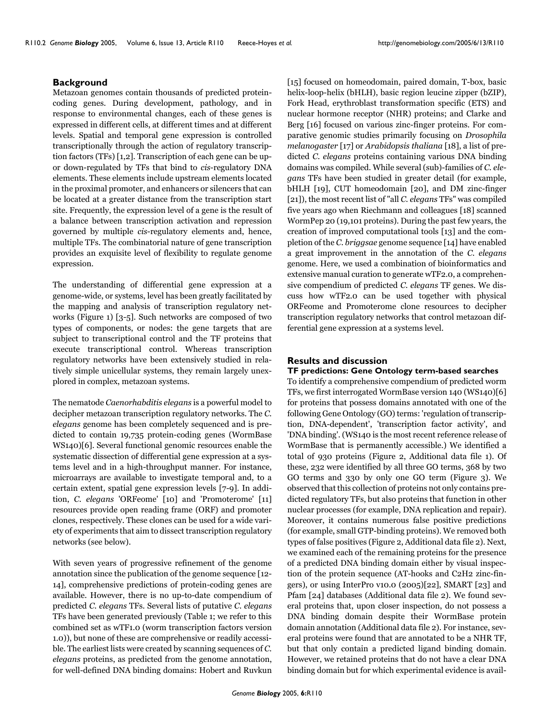### **Background**

Metazoan genomes contain thousands of predicted proteincoding genes. During development, pathology, and in response to environmental changes, each of these genes is expressed in different cells, at different times and at different levels. Spatial and temporal gene expression is controlled transcriptionally through the action of regulatory transcription factors (TFs) [1,2]. Transcription of each gene can be upor down-regulated by TFs that bind to *cis*-regulatory DNA elements. These elements include upstream elements located in the proximal promoter, and enhancers or silencers that can be located at a greater distance from the transcription start site. Frequently, the expression level of a gene is the result of a balance between transcription activation and repression governed by multiple *cis*-regulatory elements and, hence, multiple TFs. The combinatorial nature of gene transcription provides an exquisite level of flexibility to regulate genome expression.

The understanding of differential gene expression at a genome-wide, or systems, level has been greatly facilitated by the mapping and analysis of transcription regulatory networks (Figure 1) [3-5]. Such networks are composed of two types of components, or nodes: the gene targets that are subject to transcriptional control and the TF proteins that execute transcriptional control. Whereas transcription regulatory networks have been extensively studied in relatively simple unicellular systems, they remain largely unexplored in complex, metazoan systems.

The nematode *Caenorhabditis elegans* is a powerful model to decipher metazoan transcription regulatory networks. The *C. elegans* genome has been completely sequenced and is predicted to contain 19,735 protein-coding genes (WormBase WS140)[6]. Several functional genomic resources enable the systematic dissection of differential gene expression at a systems level and in a high-throughput manner. For instance, microarrays are available to investigate temporal and, to a certain extent, spatial gene expression levels [7[-9](#page-11-0)]. In addition, *C. elegans* 'ORFeome' [10] and 'Promoterome' [11] resources provide open reading frame (ORF) and promoter clones, respectively. These clones can be used for a wide variety of experiments that aim to dissect transcription regulatory networks (see below).

With seven years of progressive refinement of the genome annotation since the publication of the genome sequence [12- 14], comprehensive predictions of protein-coding genes are available. However, there is no up-to-date compendium of predicted *C. elegans* TFs. Several lists of putative *C. elegans* TFs have been generated previously (Table [1;](#page-3-0) we refer to this combined set as wTF1.0 (worm transcription factors version 1.0)), but none of these are comprehensive or readily accessible. The earliest lists were created by scanning sequences of *C. elegans* proteins, as predicted from the genome annotation, for well-defined DNA binding domains: Hobert and Ruvkun

[15] focused on homeodomain, paired domain, T-box, basic helix-loop-helix (bHLH), basic region leucine zipper (bZIP), Fork Head, erythroblast transformation specific (ETS) and nuclear hormone receptor (NHR) proteins; and Clarke and Berg [16] focused on various zinc-finger proteins. For comparative genomic studies primarily focusing on *Drosophila melanogaster* [17] or *Arabidopsis thaliana* [18], a list of predicted *C. elegans* proteins containing various DNA binding domains was compiled. While several (sub)-families of *C. elegans* TFs have been studied in greater detail (for example, bHLH [19], CUT homeodomain [20], and DM zinc-finger [21]), the most recent list of "all *C. elegans* TFs" was compiled five years ago when Riechmann and colleagues [18] scanned WormPep 20 (19,101 proteins). During the past few years, the creation of improved computational tools [13] and the completion of the *C. briggsae* genome sequence [14] have enabled a great improvement in the annotation of the *C. elegans* genome. Here, we used a combination of bioinformatics and extensive manual curation to generate wTF2.0, a comprehensive compendium of predicted *C. elegans* TF genes. We discuss how wTF2.0 can be used together with physical ORFeome and Promoterome clone resources to decipher transcription regulatory networks that control metazoan differential gene expression at a systems level.

# **Results and discussion**

# **TF predictions: Gene Ontology term-based searches**

To identify a comprehensive compendium of predicted worm TFs, we first interrogated WormBase version 140 (WS140)[6] for proteins that possess domains annotated with one of the following Gene Ontology (GO) terms: 'regulation of transcription, DNA-dependent', 'transcription factor activity', and 'DNA binding'. (WS140 is the most recent reference release of WormBase that is permanently accessible.) We identified a total of 930 proteins (Figure 2, Additional data file 1). Of these, 232 were identified by all three GO terms, 368 by two GO terms and 330 by only one GO term (Figure 3). We observed that this collection of proteins not only contains predicted regulatory TFs, but also proteins that function in other nuclear processes (for example, DNA replication and repair). Moreover, it contains numerous false positive predictions (for example, small GTP-binding proteins). We removed both types of false positives (Figure 2, Additional data file 2). Next, we examined each of the remaining proteins for the presence of a predicted DNA binding domain either by visual inspection of the protein sequence (AT-hooks and C2H2 zinc-fingers), or using InterPro v10.0 (2005)[22], SMART [23] and Pfam [24] databases (Additional data file 2). We found several proteins that, upon closer inspection, do not possess a DNA binding domain despite their WormBase protein domain annotation (Additional data file 2). For instance, several proteins were found that are annotated to be a NHR TF, but that only contain a predicted ligand binding domain. However, we retained proteins that do not have a clear DNA binding domain but for which experimental evidence is avail-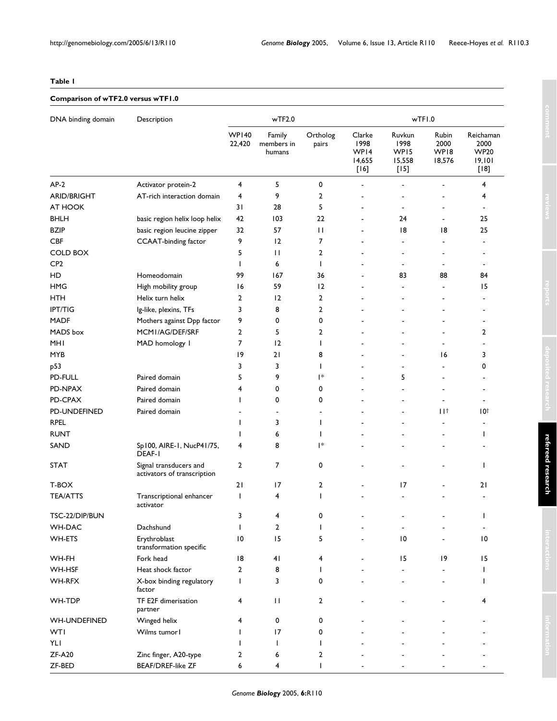### <span id="page-3-0"></span>**Table 1**

# **Comparison of wTF2.0 versus wTF1.0**

| DNA binding domain  | Description                                           | wTF2.0                 |                                |                              | wTFI.0                                     |                                                        |                                 |                                                      |
|---------------------|-------------------------------------------------------|------------------------|--------------------------------|------------------------------|--------------------------------------------|--------------------------------------------------------|---------------------------------|------------------------------------------------------|
|                     |                                                       | <b>WP140</b><br>22,420 | Family<br>members in<br>humans | Ortholog<br>pairs            | Clarke<br>1998<br>WP14<br>14,655<br>$[16]$ | Ruvkun<br>1998<br>WP <sub>15</sub><br>15,558<br>$[15]$ | Rubin<br>2000<br>WP18<br>18,576 | Reichaman<br>2000<br><b>WP20</b><br>19,101<br>$[18]$ |
| $AP-2$              | Activator protein-2                                   | 4                      | 5                              | 0                            |                                            |                                                        |                                 | 4                                                    |
| <b>ARID/BRIGHT</b>  | AT-rich interaction domain                            | 4                      | 9                              | $\overline{2}$               |                                            |                                                        |                                 | 4                                                    |
| AT HOOK             |                                                       | 31                     | 28                             | 5                            |                                            | ٠                                                      |                                 |                                                      |
| <b>BHLH</b>         | basic region helix loop helix                         | 42                     | 103                            | 22                           |                                            | 24                                                     |                                 | 25                                                   |
| <b>BZIP</b>         | basic region leucine zipper                           | 32                     | 57                             | $\mathbf{1}$                 |                                            | 18                                                     | 18                              | 25                                                   |
| <b>CBF</b>          | <b>CCAAT-binding factor</b>                           | 9                      | 12                             | 7                            |                                            | $\qquad \qquad \blacksquare$                           | $\overline{\phantom{a}}$        | $\blacksquare$                                       |
| <b>COLD BOX</b>     |                                                       | 5                      | $\mathbf{H}$                   | $\overline{2}$               |                                            | ٠                                                      | $\overline{\phantom{a}}$        | $\blacksquare$                                       |
| CP <sub>2</sub>     |                                                       | I.                     | 6                              | T                            |                                            | $\overline{\phantom{a}}$                               | $\overline{\phantom{a}}$        | $\blacksquare$                                       |
| HD                  | Homeodomain                                           | 99                     | 167                            | 36                           |                                            | 83                                                     | 88                              | 84                                                   |
| <b>HMG</b>          | High mobility group                                   | 16                     | 59                             | 12                           |                                            | $\overline{\phantom{0}}$                               | $\blacksquare$                  | 15                                                   |
| HTH                 | Helix turn helix                                      | 2                      | 12                             | $\overline{2}$               |                                            |                                                        |                                 |                                                      |
| <b>IPT/TIG</b>      | Ig-like, plexins, TFs                                 | 3                      | 8                              | 2                            |                                            |                                                        |                                 |                                                      |
| <b>MADF</b>         | Mothers against Dpp factor                            | 9                      | 0                              | 0                            |                                            |                                                        |                                 |                                                      |
| MADS box            | MCMI/AG/DEF/SRF                                       | 2                      | 5                              | 2                            |                                            |                                                        |                                 | $\overline{2}$                                       |
| <b>MHI</b>          | MAD homology I                                        | 7                      | 12                             | $\mathbf{I}$                 |                                            |                                                        |                                 |                                                      |
| <b>MYB</b>          |                                                       | 19                     | 21                             | 8                            |                                            |                                                        | 16                              | 3                                                    |
| p53                 |                                                       | 3                      | 3                              | J.                           |                                            |                                                        |                                 | 0                                                    |
| PD-FULL             | Paired domain                                         | 5                      | 9                              | l*                           |                                            | 5                                                      |                                 |                                                      |
| PD-NPAX             | Paired domain                                         | 4                      | 0                              | 0                            |                                            |                                                        |                                 |                                                      |
|                     |                                                       |                        | 0                              | 0                            |                                            |                                                        |                                 |                                                      |
| PD-CPAX             | Paired domain                                         |                        |                                |                              |                                            | ٠                                                      |                                 | $\blacksquare$                                       |
| PD-UNDEFINED        | Paired domain                                         |                        | $\qquad \qquad \blacksquare$   | $\qquad \qquad \blacksquare$ |                                            | ٠                                                      | Пt                              | 10†                                                  |
| <b>RPEL</b>         |                                                       | J.                     | 3                              | I                            |                                            |                                                        |                                 | $\overline{\phantom{a}}$                             |
| <b>RUNT</b>         |                                                       |                        | 6                              | ı                            |                                            |                                                        |                                 | I.                                                   |
| SAND                | Sp100, AIRE-1, NucP41/75,<br>DEAF-I                   | 4                      | 8                              | l*                           |                                            |                                                        |                                 |                                                      |
| <b>STAT</b>         | Signal transducers and<br>activators of transcription | 2                      | 7                              | 0                            |                                            |                                                        |                                 | $\mathbf{I}$                                         |
| T-BOX               |                                                       | 21                     | 17                             | $\overline{2}$               |                                            | 17                                                     |                                 | 21                                                   |
| <b>TEA/ATTS</b>     | Transcriptional enhancer<br>activator                 | T                      | 4                              | T                            |                                            |                                                        |                                 |                                                      |
| TSC-22/DIP/BUN      |                                                       | 3                      | 4                              | 0                            |                                            |                                                        |                                 |                                                      |
| WH-DAC              | Dachshund                                             | T                      | $\overline{2}$                 | I.                           |                                            |                                                        |                                 |                                                      |
| WH-ETS              | Erythroblast<br>transformation specific               | $\overline{10}$        | 15                             | 5                            |                                            | 10                                                     |                                 | 10                                                   |
| WH-FH               | Fork head                                             | 18                     | 41                             | 4                            |                                            | 15                                                     | 19                              | 15                                                   |
| WH-HSF              | Heat shock factor                                     | 2                      | 8                              |                              |                                            |                                                        |                                 |                                                      |
| WH-RFX              | X-box binding regulatory<br>factor                    | T                      | 3                              | 0                            |                                            |                                                        |                                 |                                                      |
| WH-TDP              | TF E2F dimerisation<br>partner                        | 4                      | $\mathbf{H}$                   | $\overline{2}$               |                                            |                                                        |                                 | 4                                                    |
| <b>WH-UNDEFINED</b> | Winged helix                                          | 4                      | 0                              | 0                            |                                            |                                                        |                                 |                                                      |
| <b>WTI</b>          | Wilms tumor l                                         |                        | 17                             | 0                            |                                            |                                                        |                                 |                                                      |
| YLI                 |                                                       |                        | T                              | ı                            |                                            |                                                        |                                 |                                                      |
| <b>ZF-A20</b>       | Zinc finger, A20-type                                 | 2                      | 6                              | 2                            |                                            |                                                        |                                 |                                                      |
| ZF-BED              | <b>BEAF/DREF-like ZF</b>                              | 6                      | 4                              |                              |                                            |                                                        |                                 |                                                      |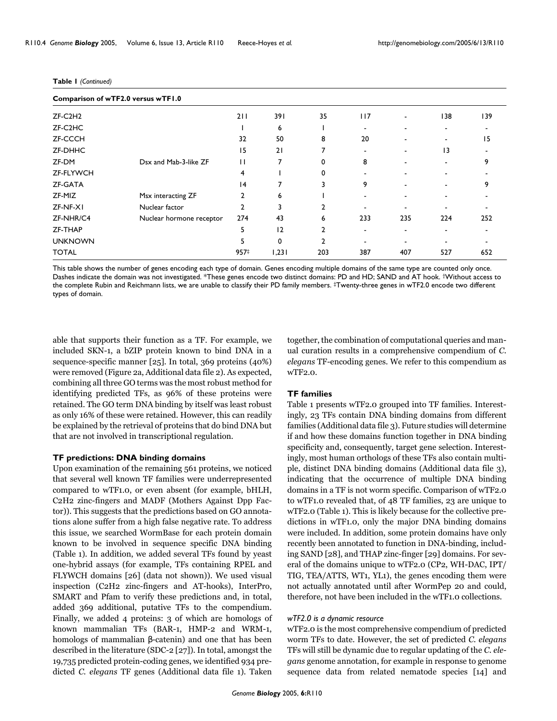|                | Comparison of wTF2.0 versus wTF1.0 |                |       |                |                          |     |                 |     |
|----------------|------------------------------------|----------------|-------|----------------|--------------------------|-----|-----------------|-----|
| $ZF-C2H2$      |                                    | 211            | 391   | 35             | 117                      |     | 138             | 139 |
| ZF-C2HC        |                                    |                | 6     |                | $\overline{\phantom{0}}$ |     |                 |     |
| <b>ZF-CCCH</b> |                                    | 32             | 50    | 8              | 20                       |     |                 | 15  |
| ZF-DHHC        |                                    | 15             | 21    | 7              |                          |     | $\overline{13}$ |     |
| ZF-DM          | Dsx and Mab-3-like ZF              | П              | 7     | 0              | 8                        |     |                 | 9   |
| ZF-FLYWCH      |                                    | 4              |       | 0              |                          |     |                 |     |
| ZF-GATA        |                                    | 4              |       | 3              | 9                        |     |                 | 9   |
| ZF-MIZ         | Msx interacting ZF                 | $\overline{2}$ | 6     |                | ۰                        |     |                 |     |
| ZF-NF-XI       | Nuclear factor                     | $\mathbf{2}$   | 3     | $\mathbf{2}$   | $\overline{\phantom{a}}$ |     |                 |     |
| ZF-NHR/C4      | Nuclear hormone receptor           | 274            | 43    | 6              | 233                      | 235 | 224             | 252 |
| ZF-THAP        |                                    | 5              | 12    | $\mathbf{2}$   | ۰                        | -   |                 |     |
| <b>UNKNOWN</b> |                                    | 5              | 0     | $\overline{2}$ | ۰                        |     |                 |     |
| <b>TOTAL</b>   |                                    | 957‡           | 1,231 | 203            | 387                      | 407 | 527             | 652 |

#### **Table 1** *(Continued)*

This table shows the number of genes encoding each type of domain. Genes encoding multiple domains of the same type are counted only once. Dashes indicate the domain was not investigated. \*These genes encode two distinct domains: PD and HD; SAND and AT hook. †Without access to the complete Rubin and Reichmann lists, we are unable to classify their PD family members. ‡Twenty-three genes in wTF2.0 encode two different types of domain.

able that supports their function as a TF. For example, we included SKN-1, a bZIP protein known to bind DNA in a sequence-specific manner [25]. In total, 369 proteins (40%) were removed (Figure 2a, Additional data file 2). As expected, combining all three GO terms was the most robust method for identifying predicted TFs, as 96% of these proteins were retained. The GO term DNA binding by itself was least robust as only 16% of these were retained. However, this can readily be explained by the retrieval of proteins that do bind DNA but that are not involved in transcriptional regulation.

#### TF predictions: DNA binding domains

Upon examination of the remaining 561 proteins, we noticed that several well known TF families were underrepresented compared to wTF1.0, or even absent (for example, bHLH, C2H2 zinc-fingers and MADF (Mothers Against Dpp Factor)). This suggests that the predictions based on GO annotations alone suffer from a high false negative rate. To address this issue, we searched WormBase for each protein domain known to be involved in sequence specific DNA binding (Table [1](#page-3-0)). In addition, we added several TFs found by yeast one-hybrid assays (for example, TFs containing RPEL and FLYWCH domains [26] (data not shown)). We used visual inspection (C2H2 zinc-fingers and AT-hooks), InterPro, SMART and Pfam to verify these predictions and, in total, added 369 additional, putative TFs to the compendium. Finally, we added 4 proteins: 3 of which are homologs of known mammalian TFs (BAR-1, HMP-2 and WRM-1, homologs of mammalian β-catenin) and one that has been described in the literature (SDC-2 [27]). In total, amongst the 19,735 predicted protein-coding genes, we identified 934 predicted *C. elegans* TF genes (Additional data file 1). Taken

together, the combination of computational queries and manual curation results in a comprehensive compendium of *C. elegans* TF-encoding genes. We refer to this compendium as wTF2.0.

#### **TF families**

Table [1](#page-3-0) presents wTF2.0 grouped into TF families. Interestingly, 23 TFs contain DNA binding domains from different families (Additional data file 3). Future studies will determine if and how these domains function together in DNA binding specificity and, consequently, target gene selection. Interestingly, most human orthologs of these TFs also contain multiple, distinct DNA binding domains (Additional data file 3), indicating that the occurrence of multiple DNA binding domains in a TF is not worm specific. Comparison of wTF2.0 to wTF1.0 revealed that, of 48 TF families, 23 are unique to wTF2.0 (Table [1\)](#page-3-0). This is likely because for the collective predictions in wTF1.0, only the major DNA binding domains were included. In addition, some protein domains have only recently been annotated to function in DNA-binding, including SAND [28], and THAP zinc-finger [29] domains. For several of the domains unique to wTF2.0 (CP2, WH-DAC, IPT/ TIG, TEA/ATTS, WT1, YL1), the genes encoding them were not actually annotated until after WormPep 20 and could, therefore, not have been included in the wTF1.0 collections.

#### wTF2.0 is a dynamic resource

wTF2.0 is the most comprehensive compendium of predicted worm TFs to date. However, the set of predicted *C. elegans* TFs will still be dynamic due to regular updating of the *C. elegans* genome annotation, for example in response to genome sequence data from related nematode species [14] and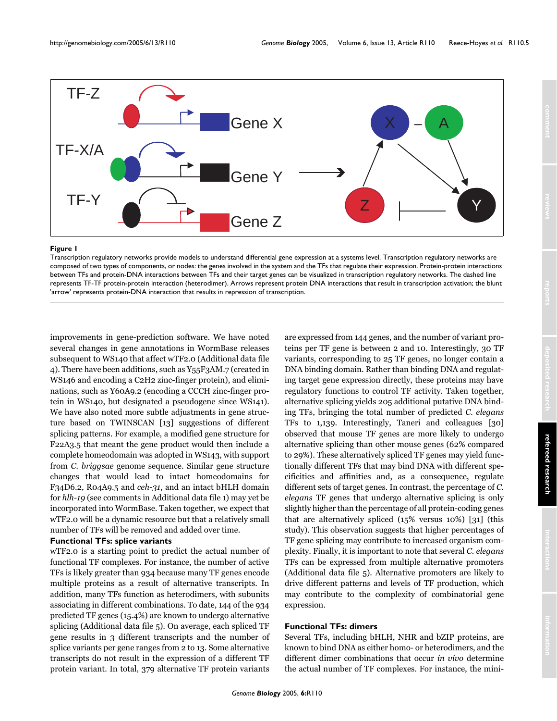

#### Transcription regulatory networks provide models to unde **Figure 1** rstand differential gene expression at a systems level

Transcription regulatory networks provide models to understand differential gene expression at a systems level. Transcription regulatory networks are composed of two types of components, or nodes: the genes involved in the system and the TFs that regulate their expression. Protein-protein interactions between TFs and protein-DNA interactions between TFs and their target genes can be visualized in transcription regulatory networks. The dashed line represents TF-TF protein-protein interaction (heterodimer). Arrows represent protein DNA interactions that result in transcription activation; the blunt 'arrow' represents protein-DNA interaction that results in repression of transcription.

improvements in gene-prediction software. We have noted several changes in gene annotations in WormBase releases subsequent to WS140 that affect wTF2.0 (Additional data file 4). There have been additions, such as Y55F3AM.7 (created in WS146 and encoding a C2H2 zinc-finger protein), and eliminations, such as Y60A9.2 (encoding a CCCH zinc-finger protein in WS140, but designated a pseudogene since WS141). We have also noted more subtle adjustments in gene structure based on TWINSCAN [13] suggestions of different splicing patterns. For example, a modified gene structure for F22A3.5 that meant the gene product would then include a complete homeodomain was adopted in WS143, with support from *C. briggsae* genome sequence. Similar gene structure changes that would lead to intact homeodomains for F34D6.2, R04A9.5 and *ceh-31*, and an intact bHLH domain for *hlh-19* (see comments in Additional data file 1) may yet be incorporated into WormBase. Taken together, we expect that wTF2.0 will be a dynamic resource but that a relatively small number of TFs will be removed and added over time.

## **Functional TFs: splice variants**

wTF2.0 is a starting point to predict the actual number of functional TF complexes. For instance, the number of active TFs is likely greater than 934 because many TF genes encode multiple proteins as a result of alternative transcripts. In addition, many TFs function as heterodimers, with subunits associating in different combinations. To date, 144 of the 934 predicted TF genes (15.4%) are known to undergo alternative splicing (Additional data file 5). On average, each spliced TF gene results in 3 different transcripts and the number of splice variants per gene ranges from 2 to 13. Some alternative transcripts do not result in the expression of a different TF protein variant. In total, 379 alternative TF protein variants are expressed from 144 genes, and the number of variant proteins per TF gene is between 2 and 10. Interestingly, 30 TF variants, corresponding to 25 TF genes, no longer contain a DNA binding domain. Rather than binding DNA and regulating target gene expression directly, these proteins may have regulatory functions to control TF activity. Taken together, alternative splicing yields 205 additional putative DNA binding TFs, bringing the total number of predicted *C. elegans* TFs to 1,139. Interestingly, Taneri and colleagues [30] observed that mouse TF genes are more likely to undergo alternative splicing than other mouse genes (62% compared to 29%). These alternatively spliced TF genes may yield functionally different TFs that may bind DNA with different specificities and affinities and, as a consequence, regulate different sets of target genes. In contrast, the percentage of *C. elegans* TF genes that undergo alternative splicing is only slightly higher than the percentage of all protein-coding genes that are alternatively spliced (15% versus 10%) [31] (this study). This observation suggests that higher percentages of TF gene splicing may contribute to increased organism complexity. Finally, it is important to note that several *C. elegans* TFs can be expressed from multiple alternative promoters (Additional data file 5). Alternative promoters are likely to drive different patterns and levels of TF production, which may contribute to the complexity of combinatorial gene expression.

#### **Functional TFs: dimers**

Several TFs, including bHLH, NHR and bZIP proteins, are known to bind DNA as either homo- or heterodimers, and the different dimer combinations that occur *in vivo* determine the actual number of TF complexes. For instance, the mini-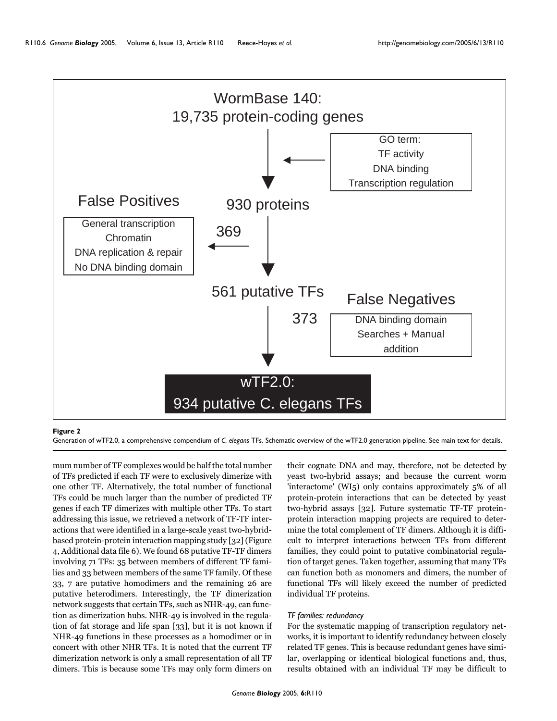

#### **Figure 2**

Generation of wTF2.0, a comprehensive compendium of *C. elegans* TFs. Schematic overview of the wTF2.0 generation pipeline. See main text for details.

mum number of TF complexes would be half the total number of TFs predicted if each TF were to exclusively dimerize with one other TF. Alternatively, the total number of functional TFs could be much larger than the number of predicted TF genes if each TF dimerizes with multiple other TFs. To start addressing this issue, we retrieved a network of TF-TF interactions that were identified in a large-scale yeast two-hybridbased protein-protein interaction mapping study [32] (Figure 4, Additional data file 6). We found 68 putative TF-TF dimers involving 71 TFs: 35 between members of different TF families and 33 between members of the same TF family. Of these 33, 7 are putative homodimers and the remaining 26 are putative heterodimers. Interestingly, the TF dimerization network suggests that certain TFs, such as NHR-49, can function as dimerization hubs. NHR-49 is involved in the regulation of fat storage and life span [33], but it is not known if NHR-49 functions in these processes as a homodimer or in concert with other NHR TFs. It is noted that the current TF dimerization network is only a small representation of all TF dimers. This is because some TFs may only form dimers on

their cognate DNA and may, therefore, not be detected by yeast two-hybrid assays; and because the current worm 'interactome' (WI5) only contains approximately 5% of all protein-protein interactions that can be detected by yeast two-hybrid assays [32]. Future systematic TF-TF proteinprotein interaction mapping projects are required to determine the total complement of TF dimers. Although it is difficult to interpret interactions between TFs from different families, they could point to putative combinatorial regulation of target genes. Taken together, assuming that many TFs can function both as monomers and dimers, the number of functional TFs will likely exceed the number of predicted individual TF proteins.

#### Additional data file 6 Overview of protein interactions involving wTF2.0 TFs Click here for file *TF families: redundancy*

For the systematic mapping of transcription regulatory networks, it is important to identify redundancy between closely related TF genes. This is because redundant genes have similar, overlapping or identical biological functions and, thus, results obtained with an individual TF may be difficult to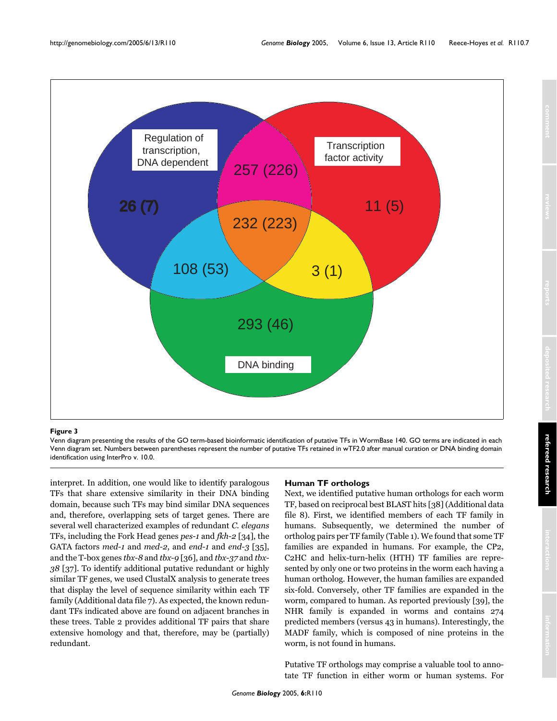

#### Venn diagram presenting the results of the GO term-based bi **Figure 3** oinformatic identification of putative TFs in WormBase 140

Venn diagram presenting the results of the GO term-based bioinformatic identification of putative TFs in WormBase 140. GO terms are indicated in each Venn diagram set. Numbers between parentheses represent the number of putative TFs retained in wTF2.0 after manual curation or DNA binding domain identification using InterPro v. 10.0.

interpret. In addition, one would like to identify paralogous TFs that share extensive similarity in their DNA binding domain, because such TFs may bind similar DNA sequences and, therefore, overlapping sets of target genes. There are several well characterized examples of redundant *C. elegans* TFs, including the Fork Head genes *pes-1* and *fkh-2* [34], the GATA factors *med-1* and *med-2*, and *end-1* and *end-3* [35], and the T-box genes *tbx-8* and *tbx-9* [36], and *tbx-37* and *tbx-38* [37]. To identify additional putative redundant or highly similar TF genes, we used ClustalX analysis to generate trees that display the level of sequence similarity within each TF family (Additional data file 7). As expected, the known redundant TFs indicated above are found on adjacent branches in these trees. Table 2 provides additional TF pairs that share extensive homology and that, therefore, may be (partially) redundant.

#### **Human TF orthologs**

Next, we identified putative human orthologs for each worm TF, based on reciprocal best BLAST hits [38] (Additional data file 8). First, we identified members of each TF family in humans. Subsequently, we determined the number of ortholog pairs per TF family (Table [1](#page-3-0)). We found that some TF families are expanded in humans. For example, the CP2, C2HC and helix-turn-helix (HTH) TF families are represented by only one or two proteins in the worm each having a human ortholog. However, the human families are expanded six-fold. Conversely, other TF families are expanded in the worm, compared to human. As reported previously [39], the NHR family is expanded in worms and contains 274 predicted members (versus 43 in humans). Interestingly, the MADF family, which is composed of nine proteins in the worm, is not found in humans.

Putative TF orthologs may comprise a valuable tool to annotate TF function in either worm or human systems. For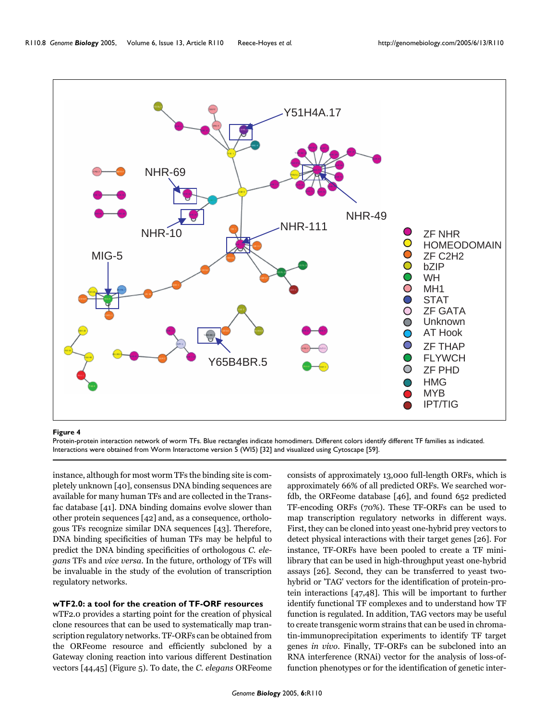

#### **Figure 4**

Protein-protein interaction network of worm TFs. Blue rectangles indicate homodimers. Different colors identify different TF families as indicated. Interactions were obtained from Worm Interactome version 5 (WI5) [32] and visualized using Cytoscape [59].

instance, although for most worm TFs the binding site is completely unknown [40], consensus DNA binding sequences are available for many human TFs and are collected in the Transfac database [41]. DNA binding domains evolve slower than other protein sequences [42] and, as a consequence, orthologous TFs recognize similar DNA sequences [43]. Therefore, DNA binding specificities of human TFs may be helpful to predict the DNA binding specificities of orthologous *C. elegans* TFs and *vice versa*. In the future, orthology of TFs will be invaluable in the study of the evolution of transcription regulatory networks.

#### **wTF2.0: a tool for the creation of TF-ORF resources**

wTF2.0 provides a starting point for the creation of physical clone resources that can be used to systematically map transcription regulatory networks. TF-ORFs can be obtained from the ORFeome resource and efficiently subcloned by a Gateway cloning reaction into various different Destination vectors [44,45] (Figure 5). To date, the *C. elegans* ORFeome consists of approximately 13,000 full-length ORFs, which is approximately 66% of all predicted ORFs. We searched worfdb, the ORFeome database [46], and found 652 predicted TF-encoding ORFs (70%). These TF-ORFs can be used to map transcription regulatory networks in different ways. First, they can be cloned into yeast one-hybrid prey vectors to detect physical interactions with their target genes [26]. For instance, TF-ORFs have been pooled to create a TF minilibrary that can be used in high-throughput yeast one-hybrid assays [26]. Second, they can be transferred to yeast twohybrid or 'TAG' vectors for the identification of protein-protein interactions [47,48]. This will be important to further identify functional TF complexes and to understand how TF function is regulated. In addition, TAG vectors may be useful to create transgenic worm strains that can be used in chromatin-immunoprecipitation experiments to identify TF target genes *in vivo*. Finally, TF-ORFs can be subcloned into an RNA interference (RNAi) vector for the analysis of loss-offunction phenotypes or for the identification of genetic inter-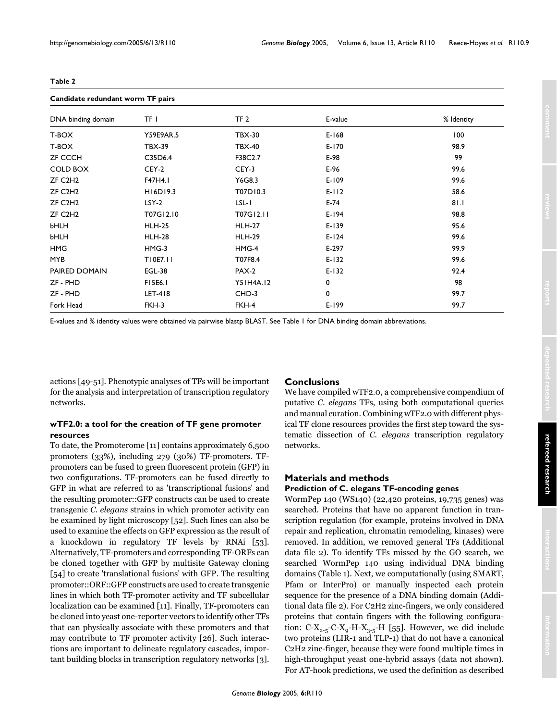| Candidate redundant worm TF pairs |                  |                 |           |            |  |  |  |
|-----------------------------------|------------------|-----------------|-----------|------------|--|--|--|
| DNA binding domain                | TF L             | TF <sub>2</sub> | E-value   | % Identity |  |  |  |
| T-BOX                             | <b>Y59E9AR.5</b> | <b>TBX-30</b>   | $E-168$   | 100        |  |  |  |
| T-BOX                             | <b>TBX-39</b>    | <b>TBX-40</b>   | $E-170$   | 98.9       |  |  |  |
| <b>ZF CCCH</b>                    | C35D6.4          | F38C2.7         | E-98      | 99         |  |  |  |
| COLD BOX                          | CEY-2            | CEY-3           | E-96      | 99.6       |  |  |  |
| ZF C <sub>2</sub> H <sub>2</sub>  | F47H4.1          | Y6G8.3          | E-109     | 99.6       |  |  |  |
| ZF C <sub>2</sub> H <sub>2</sub>  | H16D19.3         | T07D10.3        | $E-112$   | 58.6       |  |  |  |
| ZF C <sub>2</sub> H <sub>2</sub>  | LSY-2            | $LSL-I$         | $E-74$    | 81.1       |  |  |  |
| ZF C <sub>2</sub> H <sub>2</sub>  | T07G12.10        | T07G12.11       | E-194     | 98.8       |  |  |  |
| <b>bHLH</b>                       | <b>HLH-25</b>    | <b>HLH-27</b>   | $E-139$   | 95.6       |  |  |  |
| <b>bHLH</b>                       | <b>HLH-28</b>    | <b>HLH-29</b>   | $E - 124$ | 99.6       |  |  |  |
| <b>HMG</b>                        | HMG-3            | HMG-4           | E-297     | 99.9       |  |  |  |
| <b>MYB</b>                        | T10E7.11         | T07F8.4         | $E-132$   | 99.6       |  |  |  |
| PAIRED DOMAIN                     | <b>EGL-38</b>    | <b>PAX-2</b>    | $E-132$   | 92.4       |  |  |  |
| ZF - PHD                          | <b>FI5E6.1</b>   | Y51H4A.12       | 0         | 98         |  |  |  |
| ZF - PHD                          | <b>LET-418</b>   | CHD-3           | $\bf{0}$  | 99.7       |  |  |  |
| Fork Head                         | FKH-3            | FKH-4           | E-199     | 99.7       |  |  |  |

#### **Table 2**

E-values and % identity values were obtained via pairwise blastp BLAST. See Table 1 for DNA binding domain abbreviations.

actions [49-51]. Phenotypic analyses of TFs will be important for the analysis and interpretation of transcription regulatory networks.

# **wTF2.0: a tool for the creation of TF gene promoter resources**

To date, the Promoterome [11] contains approximately 6,500 promoters (33%), including 279 (30%) TF-promoters. TFpromoters can be fused to green fluorescent protein (GFP) in two configurations. TF-promoters can be fused directly to GFP in what are referred to as 'transcriptional fusions' and the resulting promoter::GFP constructs can be used to create transgenic *C. elegans* strains in which promoter activity can be examined by light microscopy [52]. Such lines can also be used to examine the effects on GFP expression as the result of a knockdown in regulatory TF levels by RNAi [53]. Alternatively, TF-promoters and corresponding TF-ORFs can be cloned together with GFP by multisite Gateway cloning [54] to create 'translational fusions' with GFP. The resulting promoter::ORF::GFP constructs are used to create transgenic lines in which both TF-promoter activity and TF subcellular localization can be examined [11]. Finally, TF-promoters can be cloned into yeast one-reporter vectors to identify other TFs that can physically associate with these promoters and that may contribute to TF promoter activity [26]. Such interactions are important to delineate regulatory cascades, important building blocks in transcription regulatory networks [3].

# **Conclusions**

We have compiled wTF2.0, a comprehensive compendium of putative *C. elegans* TFs, using both computational queries and manual curation. Combining wTF2.0 with different physical TF clone resources provides the first step toward the systematic dissection of *C. elegans* transcription regulatory networks.

## **Materials and methods Prediction of C. elegans TF-encoding genes**

WormPep 140 (WS140) (22,420 proteins, 19,735 genes) was searched. Proteins that have no apparent function in transcription regulation (for example, proteins involved in DNA repair and replication, chromatin remodeling, kinases) were removed. In addition, we removed general TFs (Additional data file 2). To identify TFs missed by the GO search, we searched WormPep 140 using individual DNA binding domains (Table [1](#page-3-0)). Next, we computationally (using SMART, Pfam or InterPro) or manually inspected each protein sequence for the presence of a DNA binding domain (Additional data file 2). For C2H2 zinc-fingers, we only considered proteins that contain fingers with the following configuration:  $C-X_{2-5}-C-X_9-H-X_{3-5}-H$  [55]. However, we did include two proteins (LIR-1 and TLP-1) that do not have a canonical C2H2 zinc-finger, because they were found multiple times in high-throughput yeast one-hybrid assays (data not shown). For AT-hook predictions, we used the definition as described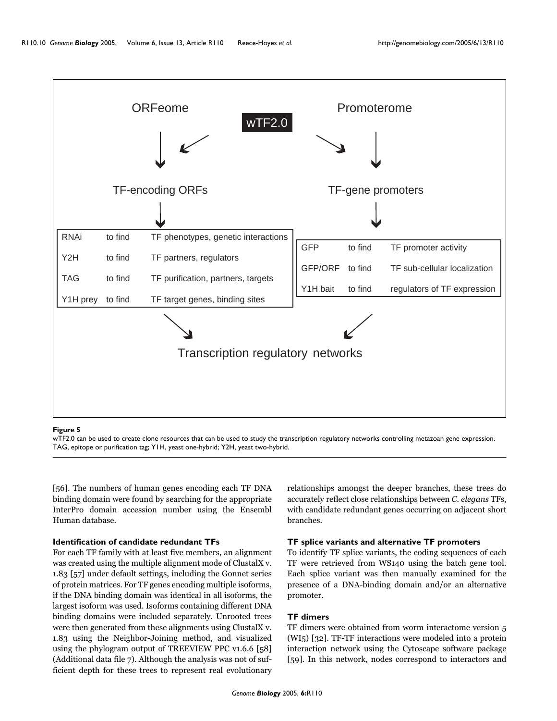

#### wTF2.0 can be used to create clone resources that can be used to study the transcription regulatory networks controlling metazo **Figure 5** an gene expression

wTF2.0 can be used to create clone resources that can be used to study the transcription regulatory networks controlling metazoan gene expression. TAG, epitope or purification tag; Y1H, yeast one-hybrid; Y2H, yeast two-hybrid.

[56]. The numbers of human genes encoding each TF DNA binding domain were found by searching for the appropriate InterPro domain accession number using the Ensembl Human database.

### **Identification of candidate redundant TFs**

For each TF family with at least five members, an alignment was created using the multiple alignment mode of ClustalX v. 1.83 [57] under default settings, including the Gonnet series of protein matrices. For TF genes encoding multiple isoforms, if the DNA binding domain was identical in all isoforms, the largest isoform was used. Isoforms containing different DNA binding domains were included separately. Unrooted trees were then generated from these alignments using ClustalX v. 1.83 using the Neighbor-Joining method, and visualized using the phylogram output of TREEVIEW PPC v1.6.6 [58] (Additional data file 7). Although the analysis was not of sufficient depth for these trees to represent real evolutionary relationships amongst the deeper branches, these trees do accurately reflect close relationships between *C. elegans* TFs, with candidate redundant genes occurring on adjacent short branches.

#### **TF splice variants and alternative TF promoters**

To identify TF splice variants, the coding sequences of each TF were retrieved from WS140 using the batch gene tool. Each splice variant was then manually examined for the presence of a DNA-binding domain and/or an alternative promoter.

#### **TF dimers**

TF dimers were obtained from worm interactome version 5 (WI5) [32]. TF-TF interactions were modeled into a protein interaction network using the Cytoscape software package [59]. In this network, nodes correspond to interactors and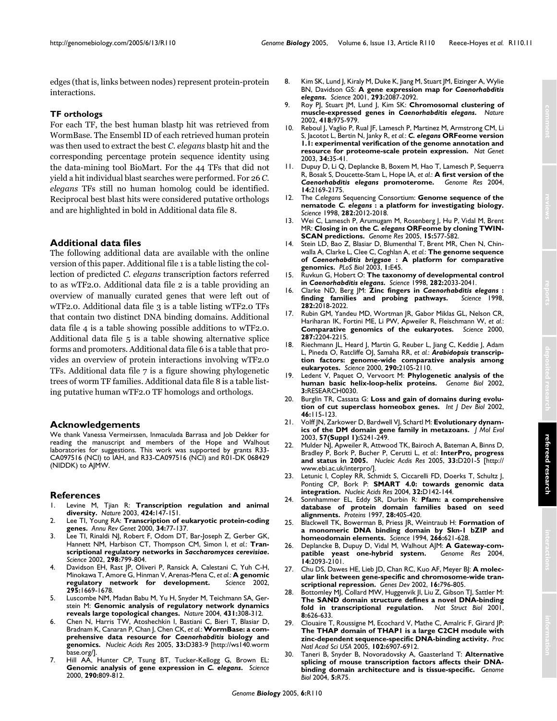edges (that is, links between nodes) represent protein-protein interactions.

# **TF orthologs**

For each TF, the best human blastp hit was retrieved from WormBase. The Ensembl ID of each retrieved human protein was then used to extract the best *C. elegans* blastp hit and the corresponding percentage protein sequence identity using the data-mining tool BioMart. For the 44 TFs that did not yield a hit individual blast searches were performed. For 26 *C. elegans* TFs still no human homolog could be identified. Reciprocal best blast hits were considered putative orthologs and are highlighted in bold in Additional data file 8.

# **Additional data files**

The following additional data are available with the online version of this paper. Additional file 1 is a table listing the collection of predicted *C. elegans* transcription factors referred to as wTF2.0. Additional data file 2 is a table providing an overview of manually curated genes that were left out of wTF2.0. Additional data file 3 is a table listing wTF2.0 TFs that contain two distinct DNA binding domains. Additional data file 4 is a table showing possible additions to wTF2.0. Additional data file 5 is a table showing alternative splice forms and promoters. Additional data file 6 is a table that provides an overview of protein interactions involving wTF2.0 TFs. Additional data file 7 is a figure showing phylogenetic trees of worm TF families. Additional data file 8 is a table listing putative human wTF2.0 TF homologs and orthologs.

# **Acknowledgements**

We thank Vanessa Vermeirssen, Inmaculada Barrasa and Job Dekker for reading the manuscript and members of the Hope and Walhout laboratories for suggestions. This work was supported by grants R33- CA097516 (NCI) to IAH, and R33-CA097516 (NCI) and R01-DK 068429 (NIDDK) to AJMW.

# **References**

- 1. Levine M, Tjian R: **[Transcription regulation and animal](http://www.ncbi.nlm.nih.gov/entrez/query.fcgi?cmd=Retrieve&db=PubMed&dopt=Abstract&list_uids=12853946) [diversity.](http://www.ncbi.nlm.nih.gov/entrez/query.fcgi?cmd=Retrieve&db=PubMed&dopt=Abstract&list_uids=12853946)** *Nature* 2003, **424:**147-151.
- 2. Lee TI, Young RA: **[Transcription of eukaryotic protein-coding](http://www.ncbi.nlm.nih.gov/entrez/query.fcgi?cmd=Retrieve&db=PubMed&dopt=Abstract&list_uids=11092823) [genes.](http://www.ncbi.nlm.nih.gov/entrez/query.fcgi?cmd=Retrieve&db=PubMed&dopt=Abstract&list_uids=11092823)** *Annu Rev Genet* 2000, **34:**77-137.
- 3. Lee TI, Rinaldi NJ, Robert F, Odom DT, Bar-Joseph Z, Gerber GK, Hannett NM, Harbison CT, Thompson CM, Simon I, *et al.*: **Transcriptional regulatory networks in** *Saccharomyces cerevisiae***[.](http://www.ncbi.nlm.nih.gov/entrez/query.fcgi?cmd=Retrieve&db=PubMed&dopt=Abstract&list_uids=12399584)** *Science* 2002, **298:**799-804.
- Davidson EH, Rast JP, Oliveri P, Ransick A, Calestani C, Yuh C-H, Minokawa T, Amore G, Hinman V, Arenas-Mena C, *et al.*: **[A genomic](http://www.ncbi.nlm.nih.gov/entrez/query.fcgi?cmd=Retrieve&db=PubMed&dopt=Abstract&list_uids=11872831) [regulatory network for development.](http://www.ncbi.nlm.nih.gov/entrez/query.fcgi?cmd=Retrieve&db=PubMed&dopt=Abstract&list_uids=11872831)** *Science* 2002, **295:**1669-1678.
- 5. Luscombe NM, Madan Babu M, Yu H, Snyder M, Teichmann SA, Gerstein M: **[Genomic analysis of regulatory network dynamics](http://www.ncbi.nlm.nih.gov/entrez/query.fcgi?cmd=Retrieve&db=PubMed&dopt=Abstract&list_uids=15372033) [reveals large topological changes.](http://www.ncbi.nlm.nih.gov/entrez/query.fcgi?cmd=Retrieve&db=PubMed&dopt=Abstract&list_uids=15372033)** *Nature* 2004, **431:**308-312.
- 6. Chen N, Harris TW, Atoshechkin I, Bastiani C, Bieri T, Blasiar D, Bradnam K, Canaran P, Chan J, Chen CK, *et al.*: **WormBase: a comprehensive data resource for** *Caenorhabditis* **[biology and](http://www.ncbi.nlm.nih.gov/entrez/query.fcgi?cmd=Retrieve&db=PubMed&dopt=Abstract&list_uids=15608221) [genomics.](http://www.ncbi.nlm.nih.gov/entrez/query.fcgi?cmd=Retrieve&db=PubMed&dopt=Abstract&list_uids=15608221)** *Nucleic Acids Res* 2005, **33:**[D383-9 \[http://ws140.worm](http://ws140.wormbase.org/) [base.org/\].](http://ws140.wormbase.org/)
- 7. Hill AA, Hunter CP, Tsung BT, Tucker-Kellogg G, Brown EL: **Genomic analysis of gene expression in** *C. elegans***[.](http://www.ncbi.nlm.nih.gov/entrez/query.fcgi?cmd=Retrieve&db=PubMed&dopt=Abstract&list_uids=11052945)** *Science* 2000, **290:**809-812.
- 8. Kim SK, Lund J, Kiraly M, Duke K, Jiang M, Stuart JM, Eizinger A, Wylie BN, Davidson GS: **A gene expression map for** *Caenorhabditis elegans***[.](http://www.ncbi.nlm.nih.gov/entrez/query.fcgi?cmd=Retrieve&db=PubMed&dopt=Abstract&list_uids=11557892)** *Science* 2001, **293:**2087-2092.
- <span id="page-11-0"></span>9. Roy PJ, Stuart JM, Lund J, Kim SK: **Chromosomal clustering of muscle-expressed genes in** *Caenorhabditis elegans***[.](http://www.ncbi.nlm.nih.gov/entrez/query.fcgi?cmd=Retrieve&db=PubMed&dopt=Abstract&list_uids=12214599)** *Nature* 2002, **418:**975-979.
- 10. Reboul J, Vaglio P, Rual JF, Lamesch P, Martinez M, Armstrong CM, Li S, Jacotot L, Bertin N, Janky R, *et al.*: *C. elegans* **[ORFeome version](http://www.ncbi.nlm.nih.gov/entrez/query.fcgi?cmd=Retrieve&db=PubMed&dopt=Abstract&list_uids=12679813) [1.1: experimental verification of the genome annotation and](http://www.ncbi.nlm.nih.gov/entrez/query.fcgi?cmd=Retrieve&db=PubMed&dopt=Abstract&list_uids=12679813) [resource for proteome-scale protein expression.](http://www.ncbi.nlm.nih.gov/entrez/query.fcgi?cmd=Retrieve&db=PubMed&dopt=Abstract&list_uids=12679813)** *Nat Genet* 2003, **34:**35-41.
- 11. Dupuy D, Li Q, Deplancke B, Boxem M, Hao T, Lamesch P, Sequerra R, Bosak S, Doucette-Stam L, Hope IA, *et al.*: **A first version of the** *Caenorhabditis elegans* **[promoterome.](http://www.ncbi.nlm.nih.gov/entrez/query.fcgi?cmd=Retrieve&db=PubMed&dopt=Abstract&list_uids=15489340)** *Genome Res* 2004, **14:**2169-2175.
- 12. The *C.elegans* Sequencing Consortium: **Genome sequence of the nematode** *C. elegans* **[: a platform for investigating biology.](http://www.ncbi.nlm.nih.gov/entrez/query.fcgi?cmd=Retrieve&db=PubMed&dopt=Abstract&list_uids=9851916)** *Science* 1998, **282:**2012-2018.
- 13. Wei C, Lamesch P, Arumugam M, Rosenberg J, Hu P, Vidal M, Brent MR: **Closing in on the** *C. elegans* **[ORFeome by cloning TWIN-](http://www.ncbi.nlm.nih.gov/entrez/query.fcgi?cmd=Retrieve&db=PubMed&dopt=Abstract&list_uids=15805498)[SCAN predictions.](http://www.ncbi.nlm.nih.gov/entrez/query.fcgi?cmd=Retrieve&db=PubMed&dopt=Abstract&list_uids=15805498)** *Genome Res* 2005, **15:**577-582.
- 14. Stein LD, Bao Z, Blasiar D, Blumenthal T, Brent MR, Chen N, Chinwalla A, Clarke L, Clee C, Coghlan A, *et al.*: **The genome sequence of** *Caenorhabditis briggsae* **[: A platform for comparative](http://www.ncbi.nlm.nih.gov/entrez/query.fcgi?cmd=Retrieve&db=PubMed&dopt=Abstract&list_uids=14624247) [genomics.](http://www.ncbi.nlm.nih.gov/entrez/query.fcgi?cmd=Retrieve&db=PubMed&dopt=Abstract&list_uids=14624247)** *PLoS Biol* 2003, **1:**E45.
- 15. Ruvkun G, Hobert O: **The taxonomy of developmental control in** *Caenorhabditis elegans***[.](http://www.ncbi.nlm.nih.gov/entrez/query.fcgi?cmd=Retrieve&db=PubMed&dopt=Abstract&list_uids=9851920)** *Science* 1998, **282:**2033-2041.
- 16. Clarke ND, Berg JM: **Zinc fingers in** *Caenorhabditis elegans* **[:](http://www.ncbi.nlm.nih.gov/entrez/query.fcgi?cmd=Retrieve&db=PubMed&dopt=Abstract&list_uids=9851917)** [finding families and probing pathways.](http://www.ncbi.nlm.nih.gov/entrez/query.fcgi?cmd=Retrieve&db=PubMed&dopt=Abstract&list_uids=9851917) **282:**2018-2022.
- 17. Rubin GM, Yandeu MD, Wortman JR, Gabor Miklas GL, Nelson CR, Hariharan IK, Fortini ME, Li PW, Apweiler R, Fleischmann W, *et al.*: **[Comparative genomics of the eukaryotes.](http://www.ncbi.nlm.nih.gov/entrez/query.fcgi?cmd=Retrieve&db=PubMed&dopt=Abstract&list_uids=10731134)** *Science* 2000, **287:**2204-2215.
- 18. Riechmann JL, Heard J, Martin G, Reuber L, Jiang C, Keddie J, Adam L, Pineda O, Ratcliffe OJ, Samaha RR, *et al.*: *Arabidopsis* **[transcrip](http://www.ncbi.nlm.nih.gov/entrez/query.fcgi?cmd=Retrieve&db=PubMed&dopt=Abstract&list_uids=11118137)[tion factors: genome-wide comparative analysis among](http://www.ncbi.nlm.nih.gov/entrez/query.fcgi?cmd=Retrieve&db=PubMed&dopt=Abstract&list_uids=11118137) [eukaryotes.](http://www.ncbi.nlm.nih.gov/entrez/query.fcgi?cmd=Retrieve&db=PubMed&dopt=Abstract&list_uids=11118137)** *Science* 2000, **290:**2105-2110.
- 19. Ledent V, Paquet O, Vervoort M: **[Phylogenetic analysis of the](http://www.ncbi.nlm.nih.gov/entrez/query.fcgi?cmd=Retrieve&db=PubMed&dopt=Abstract&list_uids=12093377) [human basic helix-loop-helix proteins.](http://www.ncbi.nlm.nih.gov/entrez/query.fcgi?cmd=Retrieve&db=PubMed&dopt=Abstract&list_uids=12093377)** *Genome Biol* 2002, **3:**RESEARCH0030.
- 20. Burglin TR, Cassata G: **[Loss and gain of domains during evolu](http://www.ncbi.nlm.nih.gov/entrez/query.fcgi?cmd=Retrieve&db=PubMed&dopt=Abstract&list_uids=11902672)[tion of cut superclass homeobox genes.](http://www.ncbi.nlm.nih.gov/entrez/query.fcgi?cmd=Retrieve&db=PubMed&dopt=Abstract&list_uids=11902672)** *Int J Dev Biol* 2002, **46:**115-123.
- 21. Volff JN, Zarkower D, Bardwell VJ, Schartl M: **[Evolutionary dynam](http://www.ncbi.nlm.nih.gov/entrez/query.fcgi?cmd=Retrieve&db=PubMed&dopt=Abstract&list_uids=15008421)[ics of the DM domain gene family in metazoans.](http://www.ncbi.nlm.nih.gov/entrez/query.fcgi?cmd=Retrieve&db=PubMed&dopt=Abstract&list_uids=15008421)** *J Mol Evol* 2003, **57(Suppl 1):**S241-249.
- 22. Mulder NJ, Apweiler R, Attwood TK, Bairoch A, Bateman A, Binns D, Bradley P, Bork P, Bucher P, Cerutti L, *et al.*: **InterPro, progress and status in 2005.** *Nucleic Acdis Res* 2005, **33:**[D201-5 \[http://](http://www.ebi.ac.uk/interpro/) [www.ebi.ac.uk/interpro/\].](http://www.ebi.ac.uk/interpro/)
- 23. Letunic I, Copley RR, Schmidt S, Ciccarelli FD, Doerks T, Schultz J, Ponting CP, Bork P: **[SMART 4.0: towards genomic data](http://www.ncbi.nlm.nih.gov/entrez/query.fcgi?cmd=Retrieve&db=PubMed&dopt=Abstract&list_uids=14681379) [integration.](http://www.ncbi.nlm.nih.gov/entrez/query.fcgi?cmd=Retrieve&db=PubMed&dopt=Abstract&list_uids=14681379)** *Nucleic Acids Res* 2004, **32:**D142-144.
- 24. Sonnhammer EL, Eddy SR, Durbin R: **[Pfam: a comprehensive](http://www.ncbi.nlm.nih.gov/entrez/query.fcgi?cmd=Retrieve&db=PubMed&dopt=Abstract&list_uids=9223186) [database of protein domain families based on seed](http://www.ncbi.nlm.nih.gov/entrez/query.fcgi?cmd=Retrieve&db=PubMed&dopt=Abstract&list_uids=9223186) [alignments.](http://www.ncbi.nlm.nih.gov/entrez/query.fcgi?cmd=Retrieve&db=PubMed&dopt=Abstract&list_uids=9223186)** *Proteins* 1997, **28:**405-420.
- 25. Blackwell TK, Bowerman B, Priess JR, Weintraub H: **[Formation of](http://www.ncbi.nlm.nih.gov/entrez/query.fcgi?cmd=Retrieve&db=PubMed&dopt=Abstract&list_uids=7939715) [a monomeric DNA binding domain by Skn-1 bZIP and](http://www.ncbi.nlm.nih.gov/entrez/query.fcgi?cmd=Retrieve&db=PubMed&dopt=Abstract&list_uids=7939715) [homeodomain elements.](http://www.ncbi.nlm.nih.gov/entrez/query.fcgi?cmd=Retrieve&db=PubMed&dopt=Abstract&list_uids=7939715)** *Science* 1994, **266:**621-628.
- 26. Deplancke B, Dupuy D, Vidal M, Walhout AJM: **[A Gateway-com](http://www.ncbi.nlm.nih.gov/entrez/query.fcgi?cmd=Retrieve&db=PubMed&dopt=Abstract&list_uids=15489331)[patible yeast one-hybrid system.](http://www.ncbi.nlm.nih.gov/entrez/query.fcgi?cmd=Retrieve&db=PubMed&dopt=Abstract&list_uids=15489331)** *Genome Res* 2004, **14:**2093-2101.
- 27. Chu DS, Dawes HE, Lieb JD, Chan RC, Kuo AF, Meyer BJ: **[A molec](http://www.ncbi.nlm.nih.gov/entrez/query.fcgi?cmd=Retrieve&db=PubMed&dopt=Abstract&list_uids=11937488)[ular link between gene-specific and chromosome-wide tran](http://www.ncbi.nlm.nih.gov/entrez/query.fcgi?cmd=Retrieve&db=PubMed&dopt=Abstract&list_uids=11937488)[scriptional repression.](http://www.ncbi.nlm.nih.gov/entrez/query.fcgi?cmd=Retrieve&db=PubMed&dopt=Abstract&list_uids=11937488)** *Genes Dev* 2002, **16:**796-805.
- 28. Bottomley MJ, Collard MW, Huggenvik JI, Liu Z, Gibson TJ, Sattler M: **[The SAND domain structure defines a novel DNA-binding](http://www.ncbi.nlm.nih.gov/entrez/query.fcgi?cmd=Retrieve&db=PubMed&dopt=Abstract&list_uids=11427895) [fold in transcriptional regulation.](http://www.ncbi.nlm.nih.gov/entrez/query.fcgi?cmd=Retrieve&db=PubMed&dopt=Abstract&list_uids=11427895)** *Nat Struct Biol* 2001, **8:**626-633.
- 29. Clouaire T, Roussigne M, Ecochard V, Mathe C, Amalric F, Girard JP: **[The THAP domain of THAP1 is a large C2CH module with](http://www.ncbi.nlm.nih.gov/entrez/query.fcgi?cmd=Retrieve&db=PubMed&dopt=Abstract&list_uids=15863623) [zinc-dependent sequence-specific DNA-binding activity.](http://www.ncbi.nlm.nih.gov/entrez/query.fcgi?cmd=Retrieve&db=PubMed&dopt=Abstract&list_uids=15863623)** *Proc Natl Acad Sci USA* 2005, **102:**6907-6912.
- 30. Taneri B, Snyder B, Novoradovsky A, Gaasterland T: **[Alternative](http://www.ncbi.nlm.nih.gov/entrez/query.fcgi?cmd=Retrieve&db=PubMed&dopt=Abstract&list_uids=15461794) [splicing of mouse transcription factors affects their DNA](http://www.ncbi.nlm.nih.gov/entrez/query.fcgi?cmd=Retrieve&db=PubMed&dopt=Abstract&list_uids=15461794)[binding domain architecture and is tissue-specific.](http://www.ncbi.nlm.nih.gov/entrez/query.fcgi?cmd=Retrieve&db=PubMed&dopt=Abstract&list_uids=15461794)** *Genome Biol* 2004, **5:**R75.